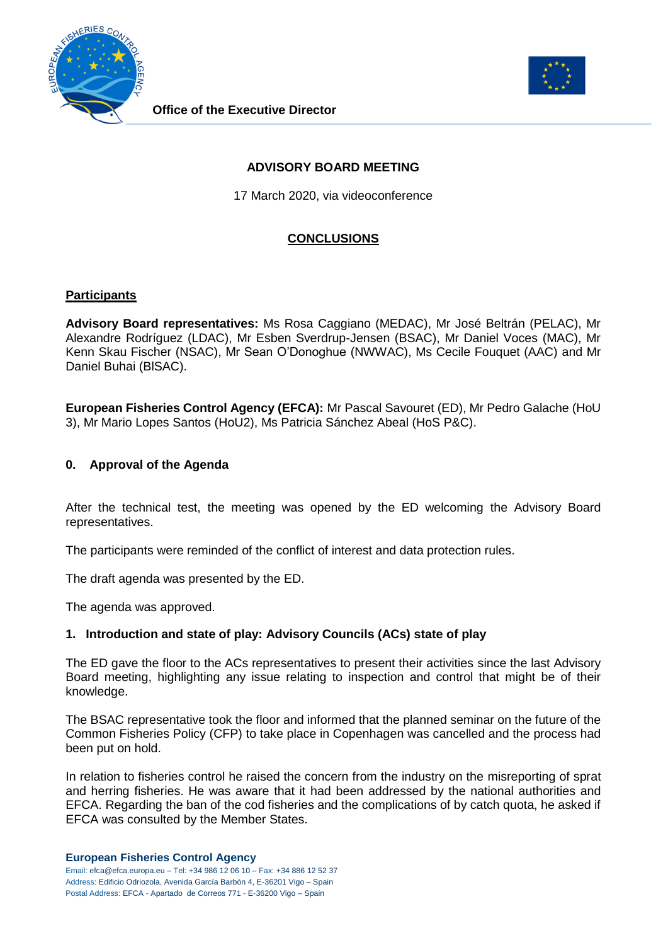



**Office of the Executive Director**

## **ADVISORY BOARD MEETING**

17 March 2020, via videoconference

## **CONCLUSIONS**

#### **Participants**

**Advisory Board representatives:** Ms Rosa Caggiano (MEDAC), Mr José Beltrán (PELAC), Mr Alexandre Rodríguez (LDAC), Mr Esben Sverdrup-Jensen (BSAC), Mr Daniel Voces (MAC), Mr Kenn Skau Fischer (NSAC), Mr Sean O'Donoghue (NWWAC), Ms Cecile Fouquet (AAC) and Mr Daniel Buhai (BlSAC).

**European Fisheries Control Agency (EFCA):** Mr Pascal Savouret (ED), Mr Pedro Galache (HoU 3), Mr Mario Lopes Santos (HoU2), Ms Patricia Sánchez Abeal (HoS P&C).

#### **0. Approval of the Agenda**

After the technical test, the meeting was opened by the ED welcoming the Advisory Board representatives.

The participants were reminded of the conflict of interest and data protection rules.

The draft agenda was presented by the ED.

The agenda was approved.

### **1. Introduction and state of play: Advisory Councils (ACs) state of play**

The ED gave the floor to the ACs representatives to present their activities since the last Advisory Board meeting, highlighting any issue relating to inspection and control that might be of their knowledge.

The BSAC representative took the floor and informed that the planned seminar on the future of the Common Fisheries Policy (CFP) to take place in Copenhagen was cancelled and the process had been put on hold.

In relation to fisheries control he raised the concern from the industry on the misreporting of sprat and herring fisheries. He was aware that it had been addressed by the national authorities and EFCA. Regarding the ban of the cod fisheries and the complications of by catch quota, he asked if EFCA was consulted by the Member States.

#### **European Fisheries Control Agency**

Email: efca@efca.europa.eu – Tel: +34 986 12 06 10 – Fax: +34 886 12 52 37 Address: Edificio Odriozola, Avenida García Barbón 4, E-36201 Vigo – Spain Postal Address: EFCA - Apartado de Correos 771 - E-36200 Vigo – Spain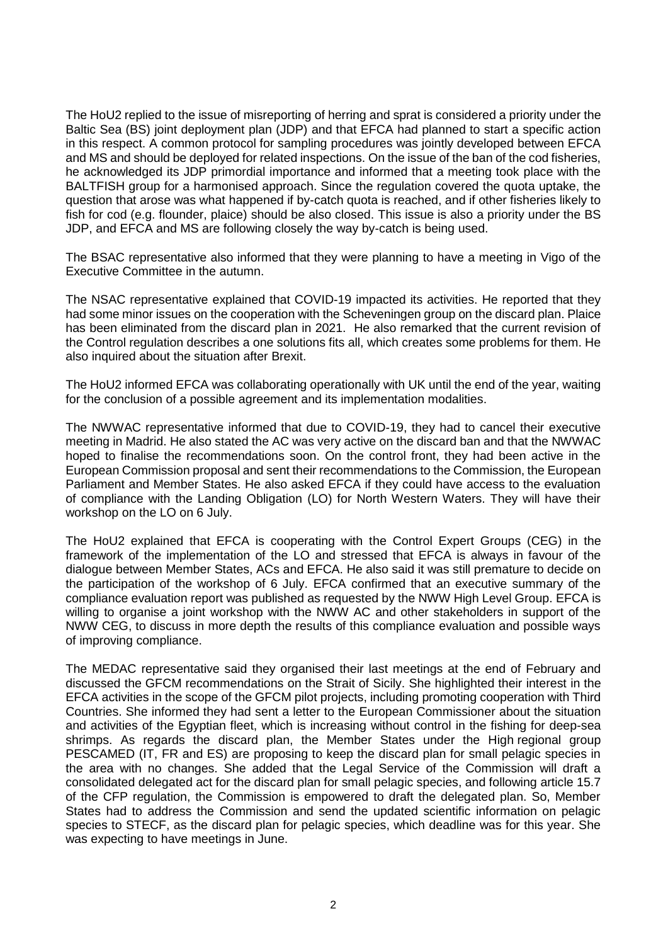The HoU2 replied to the issue of misreporting of herring and sprat is considered a priority under the Baltic Sea (BS) joint deployment plan (JDP) and that EFCA had planned to start a specific action in this respect. A common protocol for sampling procedures was jointly developed between EFCA and MS and should be deployed for related inspections. On the issue of the ban of the cod fisheries, he acknowledged its JDP primordial importance and informed that a meeting took place with the BALTFISH group for a harmonised approach. Since the regulation covered the quota uptake, the question that arose was what happened if by-catch quota is reached, and if other fisheries likely to fish for cod (e.g. flounder, plaice) should be also closed. This issue is also a priority under the BS JDP, and EFCA and MS are following closely the way by-catch is being used.

The BSAC representative also informed that they were planning to have a meeting in Vigo of the Executive Committee in the autumn.

The NSAC representative explained that COVID-19 impacted its activities. He reported that they had some minor issues on the cooperation with the Scheveningen group on the discard plan. Plaice has been eliminated from the discard plan in 2021. He also remarked that the current revision of the Control regulation describes a one solutions fits all, which creates some problems for them. He also inquired about the situation after Brexit.

The HoU2 informed EFCA was collaborating operationally with UK until the end of the year, waiting for the conclusion of a possible agreement and its implementation modalities.

The NWWAC representative informed that due to COVID-19, they had to cancel their executive meeting in Madrid. He also stated the AC was very active on the discard ban and that the NWWAC hoped to finalise the recommendations soon. On the control front, they had been active in the European Commission proposal and sent their recommendations to the Commission, the European Parliament and Member States. He also asked EFCA if they could have access to the evaluation of compliance with the Landing Obligation (LO) for North Western Waters. They will have their workshop on the LO on 6 July.

The HoU2 explained that EFCA is cooperating with the Control Expert Groups (CEG) in the framework of the implementation of the LO and stressed that EFCA is always in favour of the dialogue between Member States, ACs and EFCA. He also said it was still premature to decide on the participation of the workshop of 6 July. EFCA confirmed that an executive summary of the compliance evaluation report was published as requested by the NWW High Level Group. EFCA is willing to organise a joint workshop with the NWW AC and other stakeholders in support of the NWW CEG, to discuss in more depth the results of this compliance evaluation and possible ways of improving compliance.

The MEDAC representative said they organised their last meetings at the end of February and discussed the GFCM recommendations on the Strait of Sicily. She highlighted their interest in the EFCA activities in the scope of the GFCM pilot projects, including promoting cooperation with Third Countries. She informed they had sent a letter to the European Commissioner about the situation and activities of the Egyptian fleet, which is increasing without control in the fishing for deep-sea shrimps. As regards the discard plan, the Member States under the High regional group PESCAMED (IT, FR and ES) are proposing to keep the discard plan for small pelagic species in the area with no changes. She added that the Legal Service of the Commission will draft a consolidated delegated act for the discard plan for small pelagic species, and following article 15.7 of the CFP regulation, the Commission is empowered to draft the delegated plan. So, Member States had to address the Commission and send the updated scientific information on pelagic species to STECF, as the discard plan for pelagic species, which deadline was for this year. She was expecting to have meetings in June.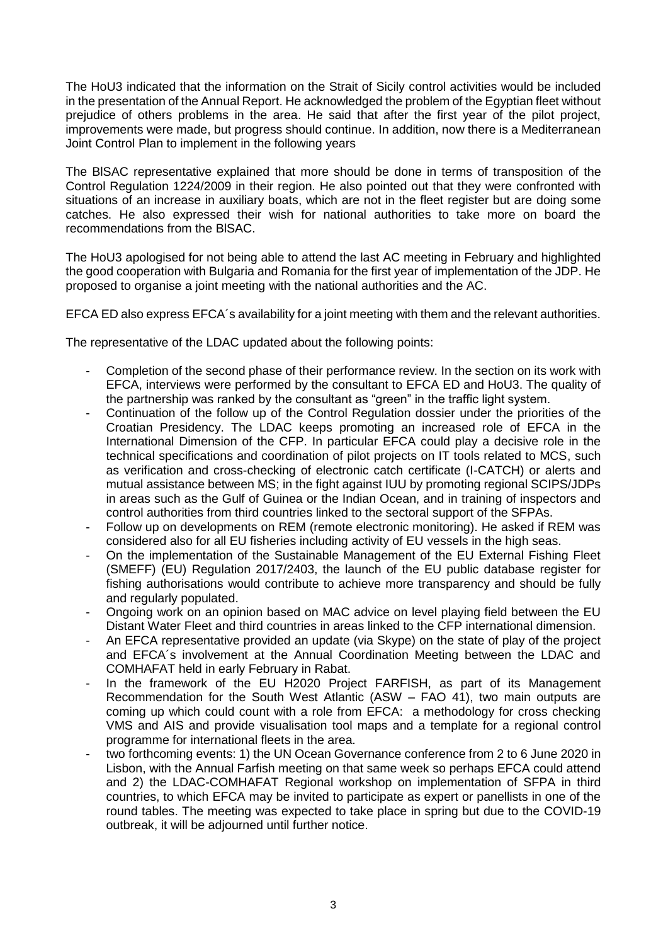The HoU3 indicated that the information on the Strait of Sicily control activities would be included in the presentation of the Annual Report. He acknowledged the problem of the Egyptian fleet without prejudice of others problems in the area. He said that after the first year of the pilot project, improvements were made, but progress should continue. In addition, now there is a Mediterranean Joint Control Plan to implement in the following years

The BlSAC representative explained that more should be done in terms of transposition of the Control Regulation 1224/2009 in their region. He also pointed out that they were confronted with situations of an increase in auxiliary boats, which are not in the fleet register but are doing some catches. He also expressed their wish for national authorities to take more on board the recommendations from the BlSAC.

The HoU3 apologised for not being able to attend the last AC meeting in February and highlighted the good cooperation with Bulgaria and Romania for the first year of implementation of the JDP. He proposed to organise a joint meeting with the national authorities and the AC.

EFCA ED also express EFCA´s availability for a joint meeting with them and the relevant authorities.

The representative of the LDAC updated about the following points:

- Completion of the second phase of their performance review. In the section on its work with EFCA, interviews were performed by the consultant to EFCA ED and HoU3. The quality of the partnership was ranked by the consultant as "green" in the traffic light system.
- Continuation of the follow up of the Control Regulation dossier under the priorities of the Croatian Presidency. The LDAC keeps promoting an increased role of EFCA in the International Dimension of the CFP. In particular EFCA could play a decisive role in the technical specifications and coordination of pilot projects on IT tools related to MCS, such as verification and cross-checking of electronic catch certificate (I-CATCH) or alerts and mutual assistance between MS; in the fight against IUU by promoting regional SCIPS/JDPs in areas such as the Gulf of Guinea or the Indian Ocean, and in training of inspectors and control authorities from third countries linked to the sectoral support of the SFPAs.
- Follow up on developments on REM (remote electronic monitoring). He asked if REM was considered also for all EU fisheries including activity of EU vessels in the high seas.
- On the implementation of the Sustainable Management of the EU External Fishing Fleet (SMEFF) (EU) Regulation 2017/2403, the launch of the EU public database register for fishing authorisations would contribute to achieve more transparency and should be fully and regularly populated.
- Ongoing work on an opinion based on MAC advice on level playing field between the EU Distant Water Fleet and third countries in areas linked to the CFP international dimension.
- An EFCA representative provided an update (via Skype) on the state of play of the project and EFCA´s involvement at the Annual Coordination Meeting between the LDAC and COMHAFAT held in early February in Rabat.
- In the framework of the EU H2020 Project FARFISH, as part of its Management Recommendation for the South West Atlantic (ASW – FAO 41), two main outputs are coming up which could count with a role from EFCA: a methodology for cross checking VMS and AIS and provide visualisation tool maps and a template for a regional control programme for international fleets in the area.
- two forthcoming events: 1) the UN Ocean Governance conference from 2 to 6 June 2020 in Lisbon, with the Annual Farfish meeting on that same week so perhaps EFCA could attend and 2) the LDAC-COMHAFAT Regional workshop on implementation of SFPA in third countries, to which EFCA may be invited to participate as expert or panellists in one of the round tables. The meeting was expected to take place in spring but due to the COVID-19 outbreak, it will be adjourned until further notice.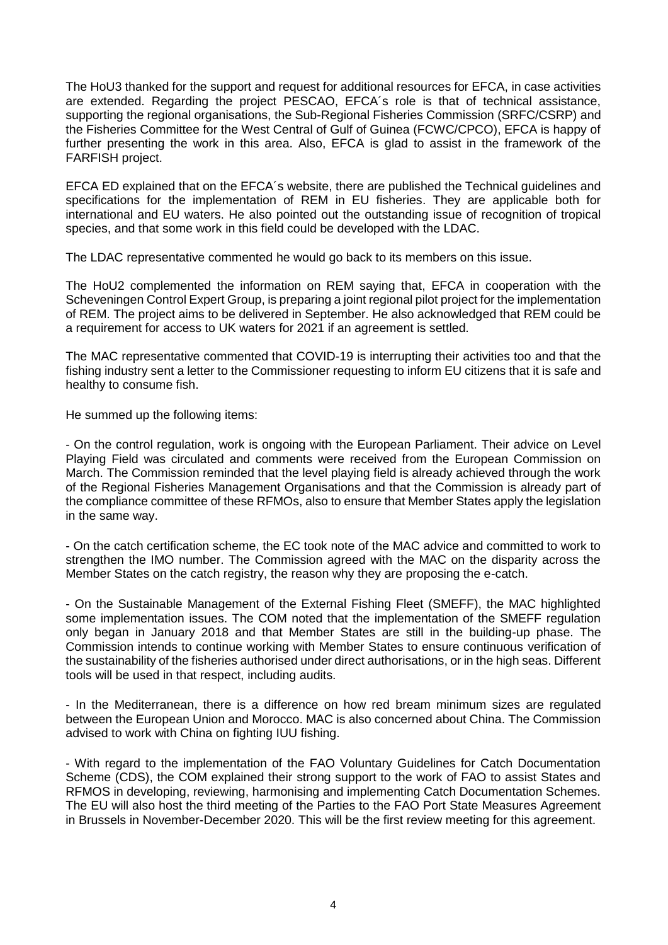The HoU3 thanked for the support and request for additional resources for EFCA, in case activities are extended. Regarding the project PESCAO, EFCA´s role is that of technical assistance, supporting the regional organisations, the Sub-Regional Fisheries Commission (SRFC/CSRP) and the Fisheries Committee for the West Central of Gulf of Guinea (FCWC/CPCO), EFCA is happy of further presenting the work in this area. Also, EFCA is glad to assist in the framework of the FARFISH project.

EFCA ED explained that on the EFCA´s website, there are published the Technical guidelines and specifications for the implementation of REM in EU fisheries. They are applicable both for international and EU waters. He also pointed out the outstanding issue of recognition of tropical species, and that some work in this field could be developed with the LDAC.

The LDAC representative commented he would go back to its members on this issue.

The HoU2 complemented the information on REM saying that, EFCA in cooperation with the Scheveningen Control Expert Group, is preparing a joint regional pilot project for the implementation of REM. The project aims to be delivered in September. He also acknowledged that REM could be a requirement for access to UK waters for 2021 if an agreement is settled.

The MAC representative commented that COVID-19 is interrupting their activities too and that the fishing industry sent a letter to the Commissioner requesting to inform EU citizens that it is safe and healthy to consume fish.

He summed up the following items:

- On the control regulation, work is ongoing with the European Parliament. Their advice on Level Playing Field was circulated and comments were received from the European Commission on March. The Commission reminded that the level playing field is already achieved through the work of the Regional Fisheries Management Organisations and that the Commission is already part of the compliance committee of these RFMOs, also to ensure that Member States apply the legislation in the same way.

- On the catch certification scheme, the EC took note of the MAC advice and committed to work to strengthen the IMO number. The Commission agreed with the MAC on the disparity across the Member States on the catch registry, the reason why they are proposing the e-catch.

- On the Sustainable Management of the External Fishing Fleet (SMEFF), the MAC highlighted some implementation issues. The COM noted that the implementation of the SMEFF regulation only began in January 2018 and that Member States are still in the building-up phase. The Commission intends to continue working with Member States to ensure continuous verification of the sustainability of the fisheries authorised under direct authorisations, or in the high seas. Different tools will be used in that respect, including audits.

- In the Mediterranean, there is a difference on how red bream minimum sizes are regulated between the European Union and Morocco. MAC is also concerned about China. The Commission advised to work with China on fighting IUU fishing.

- With regard to the implementation of the FAO Voluntary Guidelines for Catch Documentation Scheme (CDS), the COM explained their strong support to the work of FAO to assist States and RFMOS in developing, reviewing, harmonising and implementing Catch Documentation Schemes. The EU will also host the third meeting of the Parties to the FAO Port State Measures Agreement in Brussels in November-December 2020. This will be the first review meeting for this agreement.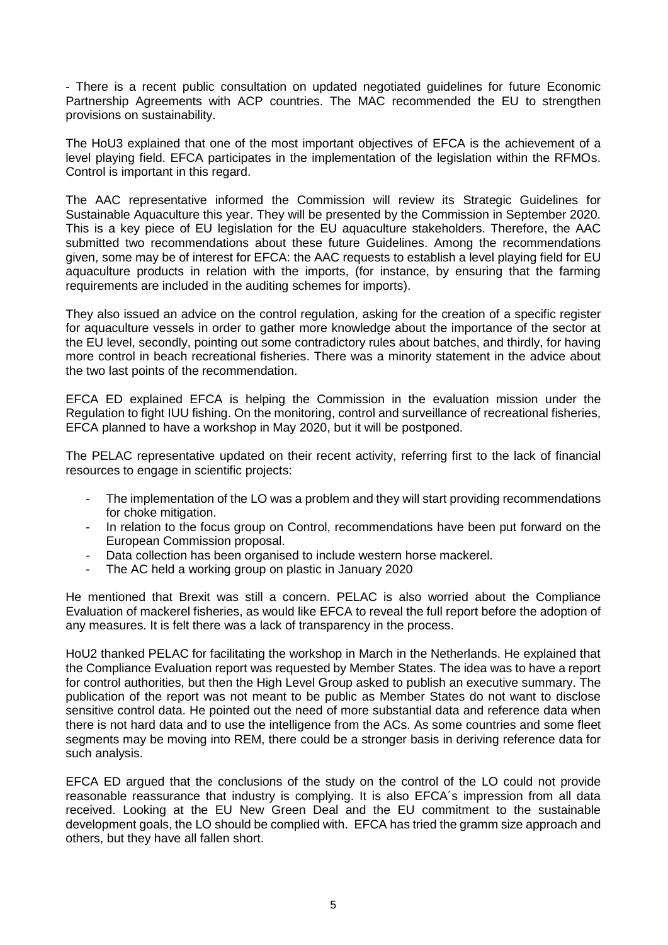- There is a recent public consultation on updated negotiated guidelines for future Economic Partnership Agreements with ACP countries. The MAC recommended the EU to strengthen provisions on sustainability.

The HoU3 explained that one of the most important objectives of EFCA is the achievement of a level playing field. EFCA participates in the implementation of the legislation within the RFMOs. Control is important in this regard.

The AAC representative informed the Commission will review its Strategic Guidelines for Sustainable Aquaculture this year. They will be presented by the Commission in September 2020. This is a key piece of EU legislation for the EU aquaculture stakeholders. Therefore, the AAC submitted two recommendations about these future Guidelines. Among the recommendations given, some may be of interest for EFCA: the AAC requests to establish a level playing field for EU aquaculture products in relation with the imports, (for instance, by ensuring that the farming requirements are included in the auditing schemes for imports).

They also issued an advice on the control regulation, asking for the creation of a specific register for aquaculture vessels in order to gather more knowledge about the importance of the sector at the EU level, secondly, pointing out some contradictory rules about batches, and thirdly, for having more control in beach recreational fisheries. There was a minority statement in the advice about the two last points of the recommendation.

EFCA ED explained EFCA is helping the Commission in the evaluation mission under the Regulation to fight IUU fishing. On the monitoring, control and surveillance of recreational fisheries, EFCA planned to have a workshop in May 2020, but it will be postponed.

The PELAC representative updated on their recent activity, referring first to the lack of financial resources to engage in scientific projects:

- The implementation of the LO was a problem and they will start providing recommendations for choke mitigation.
- In relation to the focus group on Control, recommendations have been put forward on the European Commission proposal.
- Data collection has been organised to include western horse mackerel.
- The AC held a working group on plastic in January 2020

He mentioned that Brexit was still a concern. PELAC is also worried about the Compliance Evaluation of mackerel fisheries, as would like EFCA to reveal the full report before the adoption of any measures. It is felt there was a lack of transparency in the process.

HoU2 thanked PELAC for facilitating the workshop in March in the Netherlands. He explained that the Compliance Evaluation report was requested by Member States. The idea was to have a report for control authorities, but then the High Level Group asked to publish an executive summary. The publication of the report was not meant to be public as Member States do not want to disclose sensitive control data. He pointed out the need of more substantial data and reference data when there is not hard data and to use the intelligence from the ACs. As some countries and some fleet segments may be moving into REM, there could be a stronger basis in deriving reference data for such analysis.

EFCA ED argued that the conclusions of the study on the control of the LO could not provide reasonable reassurance that industry is complying. It is also EFCA´s impression from all data received. Looking at the EU New Green Deal and the EU commitment to the sustainable development goals, the LO should be complied with. EFCA has tried the gramm size approach and others, but they have all fallen short.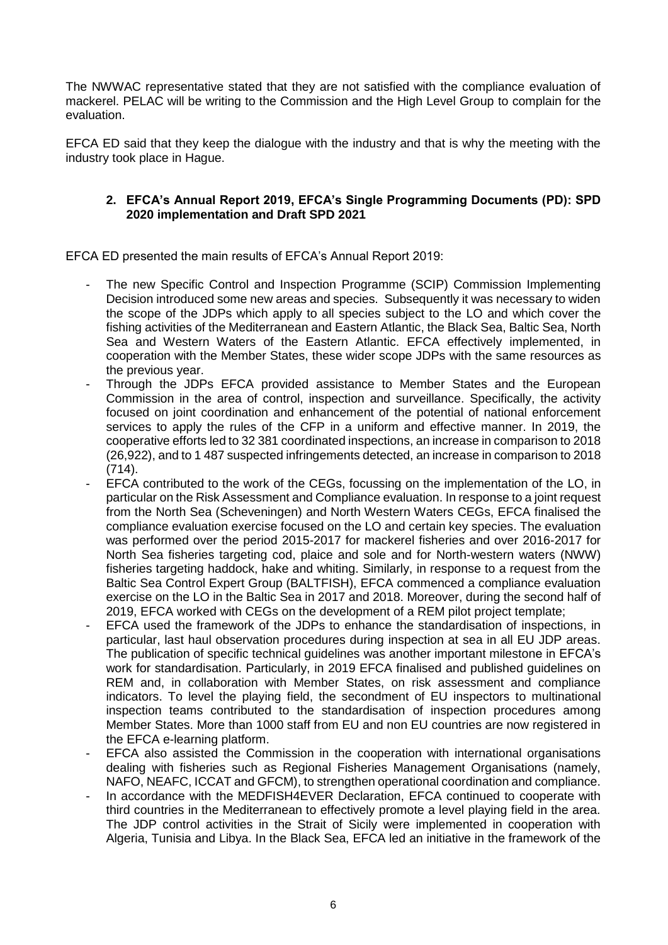The NWWAC representative stated that they are not satisfied with the compliance evaluation of mackerel. PELAC will be writing to the Commission and the High Level Group to complain for the evaluation.

EFCA ED said that they keep the dialogue with the industry and that is why the meeting with the industry took place in Hague.

## **2. EFCA's Annual Report 2019, EFCA's Single Programming Documents (PD): SPD 2020 implementation and Draft SPD 2021**

EFCA ED presented the main results of EFCA's Annual Report 2019:

- The new Specific Control and Inspection Programme (SCIP) Commission Implementing Decision introduced some new areas and species. Subsequently it was necessary to widen the scope of the JDPs which apply to all species subject to the LO and which cover the fishing activities of the Mediterranean and Eastern Atlantic, the Black Sea, Baltic Sea, North Sea and Western Waters of the Eastern Atlantic. EFCA effectively implemented, in cooperation with the Member States, these wider scope JDPs with the same resources as the previous year.
- Through the JDPs EFCA provided assistance to Member States and the European Commission in the area of control, inspection and surveillance. Specifically, the activity focused on joint coordination and enhancement of the potential of national enforcement services to apply the rules of the CFP in a uniform and effective manner. In 2019, the cooperative efforts led to 32 381 coordinated inspections, an increase in comparison to 2018 (26,922), and to 1 487 suspected infringements detected, an increase in comparison to 2018  $(714)$ .
- EFCA contributed to the work of the CEGs, focussing on the implementation of the LO, in particular on the Risk Assessment and Compliance evaluation. In response to a joint request from the North Sea (Scheveningen) and North Western Waters CEGs, EFCA finalised the compliance evaluation exercise focused on the LO and certain key species. The evaluation was performed over the period 2015-2017 for mackerel fisheries and over 2016-2017 for North Sea fisheries targeting cod, plaice and sole and for North-western waters (NWW) fisheries targeting haddock, hake and whiting. Similarly, in response to a request from the Baltic Sea Control Expert Group (BALTFISH), EFCA commenced a compliance evaluation exercise on the LO in the Baltic Sea in 2017 and 2018. Moreover, during the second half of 2019, EFCA worked with CEGs on the development of a REM pilot project template;
- EFCA used the framework of the JDPs to enhance the standardisation of inspections, in particular, last haul observation procedures during inspection at sea in all EU JDP areas. The publication of specific technical guidelines was another important milestone in EFCA's work for standardisation. Particularly, in 2019 EFCA finalised and published guidelines on REM and, in collaboration with Member States, on risk assessment and compliance indicators. To level the playing field, the secondment of EU inspectors to multinational inspection teams contributed to the standardisation of inspection procedures among Member States. More than 1000 staff from EU and non EU countries are now registered in the EFCA e-learning platform.
- EFCA also assisted the Commission in the cooperation with international organisations dealing with fisheries such as Regional Fisheries Management Organisations (namely, NAFO, NEAFC, ICCAT and GFCM), to strengthen operational coordination and compliance.
- In accordance with the MEDFISH4EVER Declaration, EFCA continued to cooperate with third countries in the Mediterranean to effectively promote a level playing field in the area. The JDP control activities in the Strait of Sicily were implemented in cooperation with Algeria, Tunisia and Libya. In the Black Sea, EFCA led an initiative in the framework of the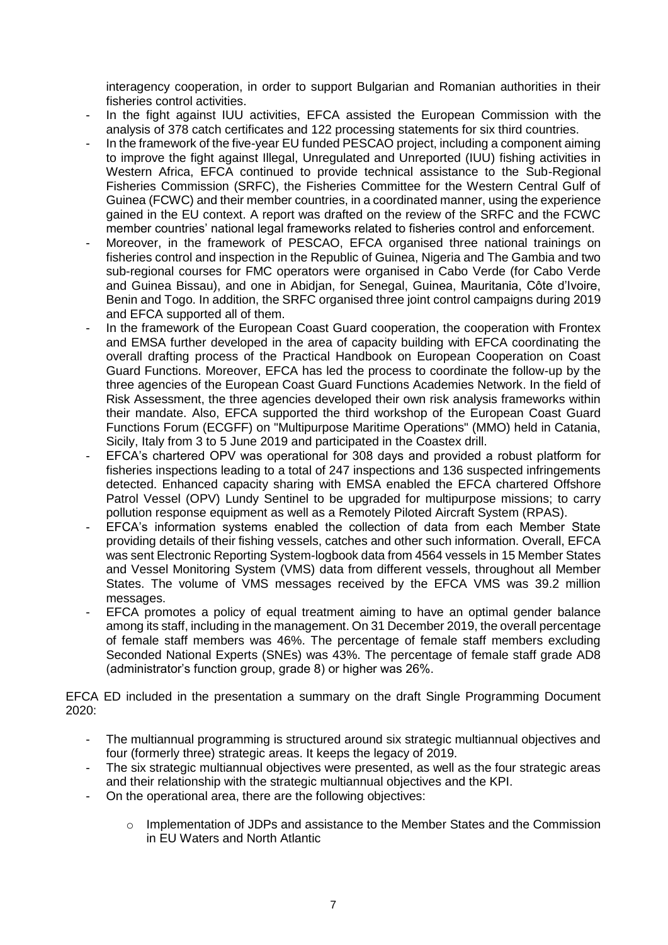interagency cooperation, in order to support Bulgarian and Romanian authorities in their fisheries control activities.

- In the fight against IUU activities, EFCA assisted the European Commission with the analysis of 378 catch certificates and 122 processing statements for six third countries.
- In the framework of the five-year EU funded PESCAO project, including a component aiming to improve the fight against Illegal, Unregulated and Unreported (IUU) fishing activities in Western Africa, EFCA continued to provide technical assistance to the Sub-Regional Fisheries Commission (SRFC), the Fisheries Committee for the Western Central Gulf of Guinea (FCWC) and their member countries, in a coordinated manner, using the experience gained in the EU context. A report was drafted on the review of the SRFC and the FCWC member countries' national legal frameworks related to fisheries control and enforcement.
- Moreover, in the framework of PESCAO, EFCA organised three national trainings on fisheries control and inspection in the Republic of Guinea, Nigeria and The Gambia and two sub-regional courses for FMC operators were organised in Cabo Verde (for Cabo Verde and Guinea Bissau), and one in Abidjan, for Senegal, Guinea, Mauritania, Côte d'Ivoire, Benin and Togo. In addition, the SRFC organised three joint control campaigns during 2019 and EFCA supported all of them.
- In the framework of the European Coast Guard cooperation, the cooperation with Frontex and EMSA further developed in the area of capacity building with EFCA coordinating the overall drafting process of the Practical Handbook on European Cooperation on Coast Guard Functions. Moreover, EFCA has led the process to coordinate the follow-up by the three agencies of the European Coast Guard Functions Academies Network. In the field of Risk Assessment, the three agencies developed their own risk analysis frameworks within their mandate. Also, EFCA supported the third workshop of the European Coast Guard Functions Forum (ECGFF) on "Multipurpose Maritime Operations" (MMO) held in Catania, Sicily, Italy from 3 to 5 June 2019 and participated in the Coastex drill.
- EFCA's chartered OPV was operational for 308 days and provided a robust platform for fisheries inspections leading to a total of 247 inspections and 136 suspected infringements detected. Enhanced capacity sharing with EMSA enabled the EFCA chartered Offshore Patrol Vessel (OPV) Lundy Sentinel to be upgraded for multipurpose missions; to carry pollution response equipment as well as a Remotely Piloted Aircraft System (RPAS).
- EFCA's information systems enabled the collection of data from each Member State providing details of their fishing vessels, catches and other such information. Overall, EFCA was sent Electronic Reporting System-logbook data from 4564 vessels in 15 Member States and Vessel Monitoring System (VMS) data from different vessels, throughout all Member States. The volume of VMS messages received by the EFCA VMS was 39.2 million messages.
- EFCA promotes a policy of equal treatment aiming to have an optimal gender balance among its staff, including in the management. On 31 December 2019, the overall percentage of female staff members was 46%. The percentage of female staff members excluding Seconded National Experts (SNEs) was 43%. The percentage of female staff grade AD8 (administrator's function group, grade 8) or higher was 26%.

EFCA ED included in the presentation a summary on the draft Single Programming Document 2020:

- The multiannual programming is structured around six strategic multiannual objectives and four (formerly three) strategic areas. It keeps the legacy of 2019.
- The six strategic multiannual objectives were presented, as well as the four strategic areas and their relationship with the strategic multiannual objectives and the KPI.
- On the operational area, there are the following objectives:
	- $\circ$  Implementation of JDPs and assistance to the Member States and the Commission in EU Waters and North Atlantic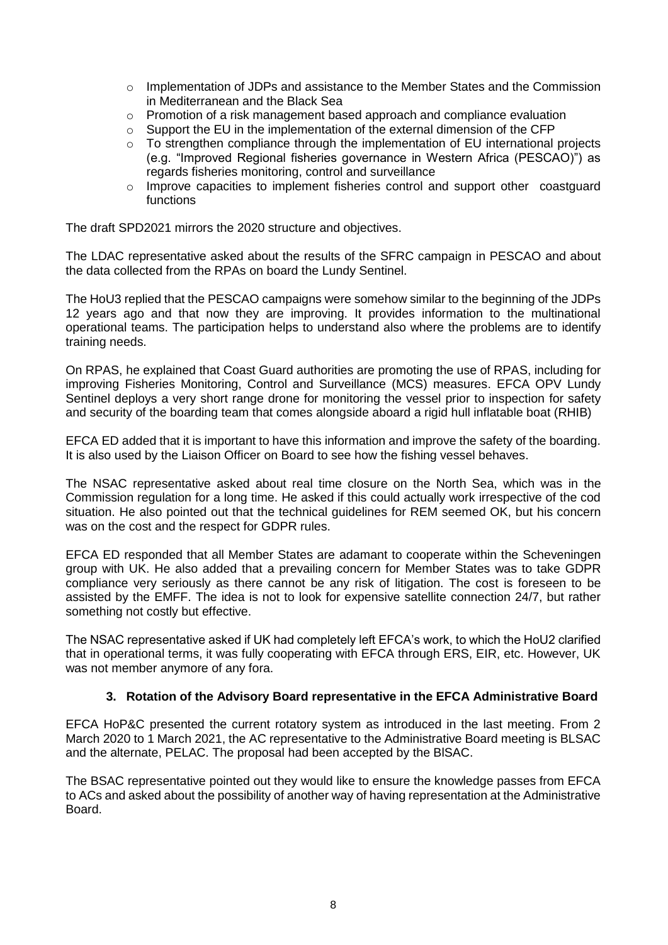- o Implementation of JDPs and assistance to the Member States and the Commission in Mediterranean and the Black Sea
- o Promotion of a risk management based approach and compliance evaluation
- $\circ$  Support the EU in the implementation of the external dimension of the CFP
- $\circ$  To strengthen compliance through the implementation of EU international projects (e.g. "Improved Regional fisheries governance in Western Africa (PESCAO)") as regards fisheries monitoring, control and surveillance
- $\circ$  Improve capacities to implement fisheries control and support other coastguard functions

The draft SPD2021 mirrors the 2020 structure and objectives.

The LDAC representative asked about the results of the SFRC campaign in PESCAO and about the data collected from the RPAs on board the Lundy Sentinel.

The HoU3 replied that the PESCAO campaigns were somehow similar to the beginning of the JDPs 12 years ago and that now they are improving. It provides information to the multinational operational teams. The participation helps to understand also where the problems are to identify training needs.

On RPAS, he explained that Coast Guard authorities are promoting the use of RPAS, including for improving Fisheries Monitoring, Control and Surveillance (MCS) measures. EFCA OPV Lundy Sentinel deploys a very short range drone for monitoring the vessel prior to inspection for safety and security of the boarding team that comes alongside aboard a rigid hull inflatable boat (RHIB)

EFCA ED added that it is important to have this information and improve the safety of the boarding. It is also used by the Liaison Officer on Board to see how the fishing vessel behaves.

The NSAC representative asked about real time closure on the North Sea, which was in the Commission regulation for a long time. He asked if this could actually work irrespective of the cod situation. He also pointed out that the technical guidelines for REM seemed OK, but his concern was on the cost and the respect for GDPR rules.

EFCA ED responded that all Member States are adamant to cooperate within the Scheveningen group with UK. He also added that a prevailing concern for Member States was to take GDPR compliance very seriously as there cannot be any risk of litigation. The cost is foreseen to be assisted by the EMFF. The idea is not to look for expensive satellite connection 24/7, but rather something not costly but effective.

The NSAC representative asked if UK had completely left EFCA's work, to which the HoU2 clarified that in operational terms, it was fully cooperating with EFCA through ERS, EIR, etc. However, UK was not member anymore of any fora.

### **3. Rotation of the Advisory Board representative in the EFCA Administrative Board**

EFCA HoP&C presented the current rotatory system as introduced in the last meeting. From 2 March 2020 to 1 March 2021, the AC representative to the Administrative Board meeting is BLSAC and the alternate, PELAC. The proposal had been accepted by the BlSAC.

The BSAC representative pointed out they would like to ensure the knowledge passes from EFCA to ACs and asked about the possibility of another way of having representation at the Administrative Board.